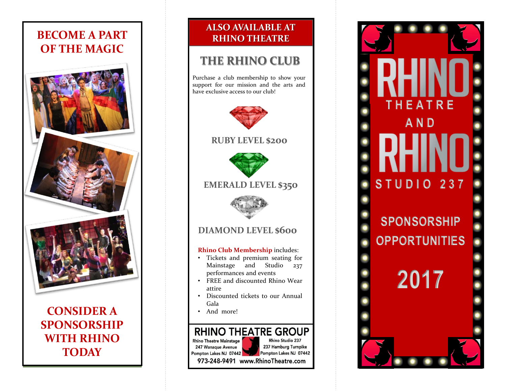# **BECOME A PART OF THE MAGIC**



**CONSIDER A SPONSORSHIP WITH RHINO TODAY**

# **ALSO AVAILABLE AT RHINO THEATRE**

# **THE RHINO CLUB**

Purchase a club membership to show your support for our mission and the arts and have exclusive access to our club!



# **RUBY LEVEL \$200**



# **EMERALD LEVEL \$350**



# **DIAMOND LEVEL \$600**

## **Rhino Club Membership** includes:

- Tickets and premium seating for Mainstage and Studio 237 performances and events
- FREE and discounted Rhino Wear attire
- Discounted tickets to our Annual Gala
- And more!

# **RHINO THEATRE GROUP**

**Rhino Theatre Mainstage** Rhino Studio 237 247 Wanaque Avenue 237 Hamburg Turnpike Pompton Lakes NJ 07442 Pompton Lakes NJ 07442<br>973-248-9491 www.RhinoTheatre.com